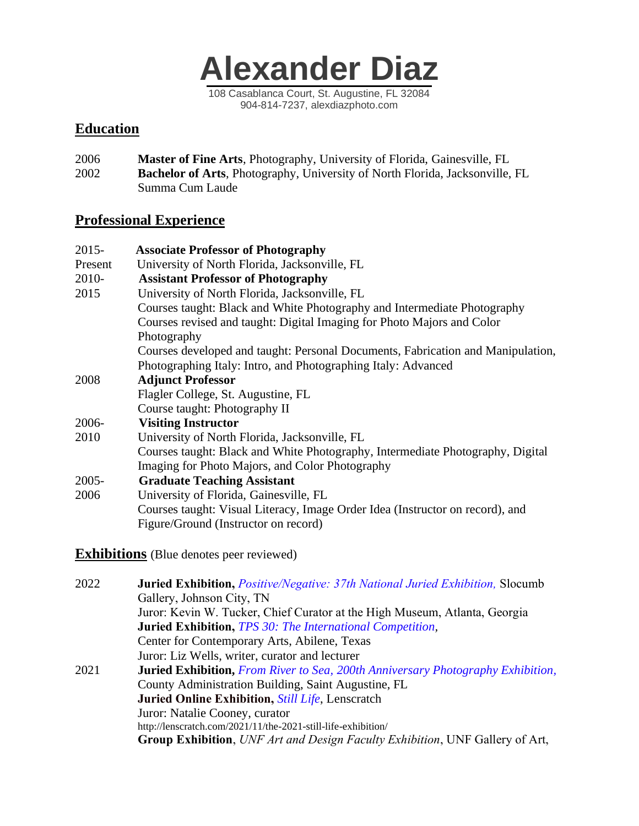

### **Education**

2006 **Master of Fine Arts**, Photography, University of Florida, Gainesville, FL 2002 **Bachelor of Arts**, Photography, University of North Florida, Jacksonville, FL Summa Cum Laude

### **Professional Experience**

| $2015 -$ | <b>Associate Professor of Photography</b>                                       |
|----------|---------------------------------------------------------------------------------|
| Present  | University of North Florida, Jacksonville, FL                                   |
| 2010-    | <b>Assistant Professor of Photography</b>                                       |
| 2015     | University of North Florida, Jacksonville, FL                                   |
|          | Courses taught: Black and White Photography and Intermediate Photography        |
|          | Courses revised and taught: Digital Imaging for Photo Majors and Color          |
|          | Photography                                                                     |
|          | Courses developed and taught: Personal Documents, Fabrication and Manipulation, |
|          | Photographing Italy: Intro, and Photographing Italy: Advanced                   |
| 2008     | <b>Adjunct Professor</b>                                                        |
|          | Flagler College, St. Augustine, FL                                              |
|          | Course taught: Photography II                                                   |
| 2006-    | <b>Visiting Instructor</b>                                                      |
| 2010     | University of North Florida, Jacksonville, FL                                   |
|          | Courses taught: Black and White Photography, Intermediate Photography, Digital  |
|          | Imaging for Photo Majors, and Color Photography                                 |
| $2005 -$ | <b>Graduate Teaching Assistant</b>                                              |
| 2006     | University of Florida, Gainesville, FL                                          |
|          | Courses taught: Visual Literacy, Image Order Idea (Instructor on record), and   |
|          | Figure/Ground (Instructor on record)                                            |
|          |                                                                                 |

**Exhibitions** (Blue denotes peer reviewed)

| 2022 | <b>Juried Exhibition, Positive/Negative: 37th National Juried Exhibition, Slocumb</b>  |
|------|----------------------------------------------------------------------------------------|
|      | Gallery, Johnson City, TN                                                              |
|      | Juror: Kevin W. Tucker, Chief Curator at the High Museum, Atlanta, Georgia             |
|      | <b>Juried Exhibition, TPS 30: The International Competition,</b>                       |
|      | Center for Contemporary Arts, Abilene, Texas                                           |
|      | Juror: Liz Wells, writer, curator and lecturer                                         |
| 2021 | <b>Juried Exhibition, From River to Sea, 200th Anniversary Photography Exhibition,</b> |
|      | County Administration Building, Saint Augustine, FL                                    |
|      | <b>Juried Online Exhibition, Still Life, Lenscratch</b>                                |
|      | Juror: Natalie Cooney, curator                                                         |
|      | http://lenscratch.com/2021/11/the-2021-still-life-exhibition/                          |
|      | <b>Group Exhibition,</b> UNF Art and Design Faculty Exhibition, UNF Gallery of Art,    |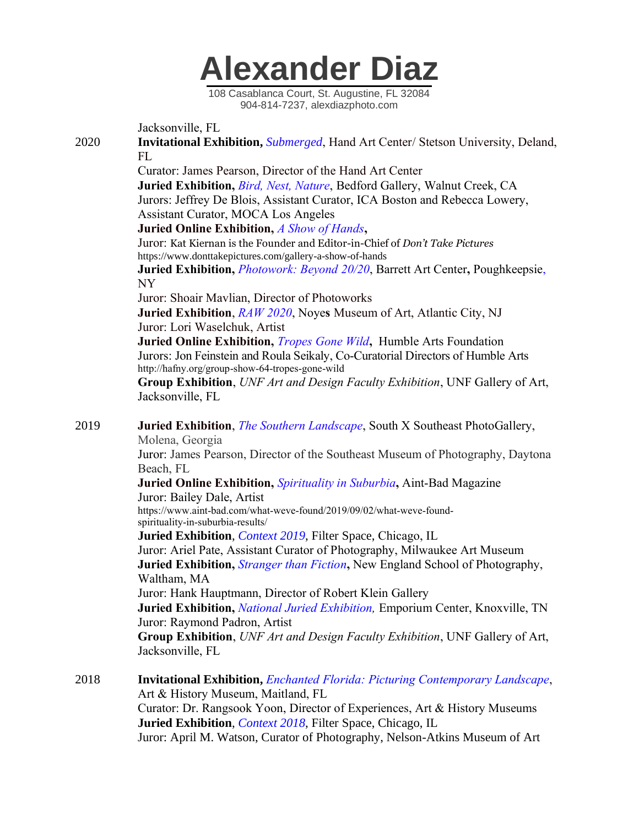

Jacksonville, FL

2020 **Invitational Exhibition,** *Submerged*, Hand Art Center/ Stetson University, Deland, FL

> Curator: James Pearson, Director of the Hand Art Center  **Juried Exhibition,** *Bird, Nest, Nature*, Bedford Gallery, Walnut Creek, CA Jurors: Jeffrey De Blois, Assistant Curator, ICA Boston and Rebecca Lowery, Assistant Curator, MOCA Los Angeles  **Juried Online Exhibition,** *A Show of Hands***,**

 Juror: Kat Kiernan is the Founder and Editor-in-Chief of *Don't Take Pictures* https://www.donttakepictures.com/gallery-a-show-of-hands

 **Juried Exhibition,** *Photowork: Beyond 20/20*, Barrett Art Center**,** Poughkeepsie, NY

Juror: Shoair Mavlian, Director of Photoworks

 **Juried Exhibition**, *RAW 2020*, Noye**s** Museum of Art, Atlantic City, NJ Juror: Lori Waselchuk, Artist

 **Juried Online Exhibition,** *Tropes Gone Wild***,** Humble Arts Foundation Jurors: Jon Feinstein and Roula Seikaly, Co-Curatorial Directors of Humble Arts http://hafny.org/group-show-64-tropes-gone-wild

 **Group Exhibition**, *UNF Art and Design Faculty Exhibition*, UNF Gallery of Art, Jacksonville, FL

2019 **Juried Exhibition**, *The Southern Landscape*, South X Southeast PhotoGallery, Molena, Georgia

> Juror: James Pearson, Director of the Southeast Museum of Photography, Daytona Beach, FL

 **Juried Online Exhibition,** *Spirituality in Suburbia***,** Aint-Bad Magazine Juror: Bailey Dale, Artist

 https://www.aint-bad.com/what-weve-found/2019/09/02/what-weve-found spirituality-in-suburbia-results/

 **Juried Exhibition**, *Context 2019*, Filter Space, Chicago, IL Juror: Ariel Pate, Assistant Curator of Photography, Milwaukee Art Museum  **Juried Exhibition,** *Stranger than Fiction***,** New England School of Photography, Waltham, MA Juror: Hank Hauptmann, Director of Robert Klein Gallery

 **Juried Exhibition,** *National Juried Exhibition,* Emporium Center, Knoxville, TN Juror: Raymond Padron, Artist

 **Group Exhibition**, *UNF Art and Design Faculty Exhibition*, UNF Gallery of Art, Jacksonville, FL

2018 **Invitational Exhibition,** *Enchanted Florida: Picturing Contemporary Landscape*, Art & History Museum, Maitland, FL Curator: Dr. Rangsook Yoon, Director of Experiences, Art & History Museums **Juried Exhibition**, *Context 2018*, Filter Space, Chicago, IL Juror: April M. Watson, Curator of Photography, Nelson-Atkins Museum of Art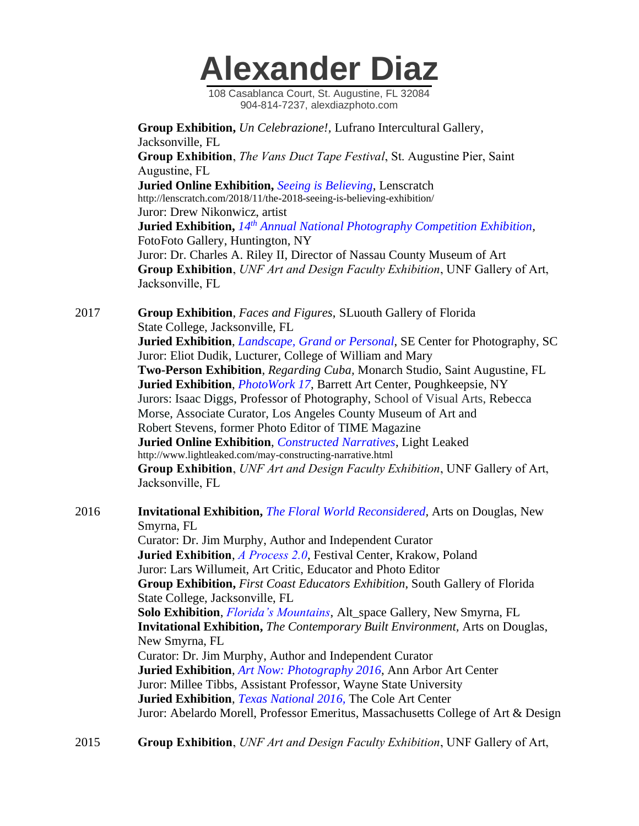108 Casablanca Court, St. Augustine, FL 32084 904-814-7237, alexdiazphoto.com

 **Group Exhibition,** *Un Celebrazione!,* Lufrano Intercultural Gallery, Jacksonville, FL  **Group Exhibition**, *The Vans Duct Tape Festival*, St. Augustine Pier, Saint Augustine, FL  **Juried Online Exhibition,** *Seeing is Believing*, Lenscratch http://lenscratch.com/2018/11/the-2018-seeing-is-believing-exhibition/ Juror: Drew Nikonwicz, artist  **Juried Exhibition,** *14th Annual National Photography Competition Exhibition,*  FotoFoto Gallery, Huntington, NY Juror: Dr. Charles A. Riley II, Director of Nassau County Museum of Art  **Group Exhibition**, *UNF Art and Design Faculty Exhibition*, UNF Gallery of Art, Jacksonville, FL

2017 **Group Exhibition**, *Faces and Figures*, SLuouth Gallery of Florida State College, Jacksonville, FL **Juried Exhibition**, *Landscape, Grand or Personal*, SE Center for Photography, SC Juror: Eliot Dudik, Lucturer, College of William and Mary **Two-Person Exhibition**, *Regarding Cuba,* Monarch Studio, Saint Augustine, FL  **Juried Exhibition**, *PhotoWork 17*, Barrett Art Center, Poughkeepsie, NY Jurors: Isaac Diggs, Professor of Photography, School of Visual Arts, Rebecca Morse, Associate Curator, Los Angeles County Museum of Art and Robert Stevens, former Photo Editor of TIME Magazine  **Juried Online Exhibition**, *Constructed Narratives*, Light Leaked http://www.lightleaked.com/may-constructing-narrative.html  **Group Exhibition**, *UNF Art and Design Faculty Exhibition*, UNF Gallery of Art, Jacksonville, FL

2016 **Invitational Exhibition,** *The Floral World Reconsidered,* Arts on Douglas, New Smyrna, FL Curator: Dr. Jim Murphy, Author and Independent Curator  **Juried Exhibition**, *A Process 2.0*, Festival Center, Krakow, Poland Juror: Lars Willumeit, Art Critic, Educator and Photo Editor **Group Exhibition,** *First Coast Educators Exhibition*, South Gallery of Florida State College, Jacksonville, FL  **Solo Exhibition**, *Florida's Mountains*, Alt\_space Gallery, New Smyrna, FL  **Invitational Exhibition,** *The Contemporary Built Environment,* Arts on Douglas, New Smyrna, FL Curator: Dr. Jim Murphy, Author and Independent Curator **Juried Exhibition**, *Art Now: Photography 2016*, Ann Arbor Art Center Juror: Millee Tibbs, Assistant Professor, Wayne State University  **Juried Exhibition**, *Texas National 2016,* The Cole Art Center Juror: Abelardo Morell, Professor Emeritus, Massachusetts College of Art & Design

2015 **Group Exhibition**, *UNF Art and Design Faculty Exhibition*, UNF Gallery of Art,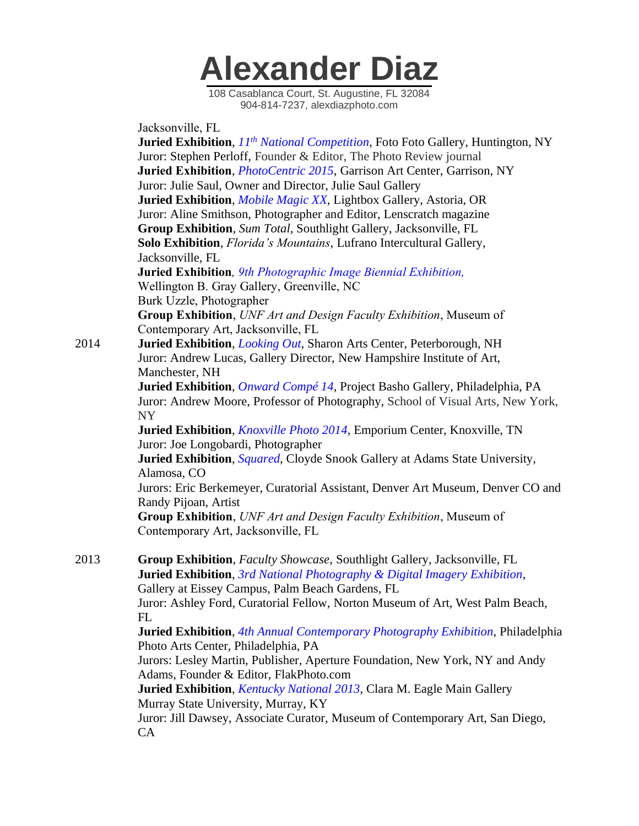108 Casablanca Court, St. Augustine, FL 32084 904-814-7237, alexdiazphoto.com

 Jacksonville, FL **Juried Exhibition**, *11th National Competition*, Foto Foto Gallery, Huntington, NY Juror: Stephen Perloff, Founder & Editor, The Photo Review journal **Juried Exhibition**, *PhotoCentric 2015*, Garrison Art Center, Garrison, NY Juror: Julie Saul, Owner and Director, Julie Saul Gallery **Juried Exhibition**, *Mobile Magic XX*, Lightbox Gallery, Astoria, OR Juror: Aline Smithson, Photographer and Editor, Lenscratch magazine **Group Exhibition**, *Sum Total*, Southlight Gallery, Jacksonville, FL  **Solo Exhibition**, *Florida's Mountains*, Lufrano Intercultural Gallery, Jacksonville, FL  **Juried Exhibition***, 9th Photographic Image Biennial Exhibition,* Wellington B. Gray Gallery, Greenville, NC Burk Uzzle, Photographer  **Group Exhibition**, *UNF Art and Design Faculty Exhibition*, Museum of Contemporary Art, Jacksonville, FL 2014 **Juried Exhibition**, *Looking Out*, Sharon Arts Center, Peterborough, NH Juror: Andrew Lucas, Gallery Director, New Hampshire Institute of Art, Manchester, NH **Juried Exhibition**, *Onward Compé 14*, Project Basho Gallery, Philadelphia, PA Juror: Andrew Moore, Professor of Photography, School of Visual Arts, New York, NY **Juried Exhibition**, *Knoxville Photo 2014*, Emporium Center, Knoxville, TN Juror: Joe Longobardi, Photographer **Juried Exhibition**, *Squared*, Cloyde Snook Gallery at Adams State University, Alamosa, CO Jurors: Eric Berkemeyer, Curatorial Assistant, Denver Art Museum, Denver CO and Randy Pijoan, Artist **Group Exhibition**, *UNF Art and Design Faculty Exhibition*, Museum of Contemporary Art, Jacksonville, FL 2013 **Group Exhibition**, *Faculty Showcase*, Southlight Gallery, Jacksonville, FL **Juried Exhibition**, *3rd National Photography & Digital Imagery Exhibition*, Gallery at Eissey Campus, Palm Beach Gardens, FL Juror: Ashley Ford, Curatorial Fellow, Norton Museum of Art, West Palm Beach, FL **Juried Exhibition**, *4th Annual Contemporary Photography Exhibition*, Philadelphia Photo Arts Center, Philadelphia, PA Jurors: Lesley Martin, Publisher, Aperture Foundation, New York, NY and Andy Adams, Founder & Editor, FlakPhoto.com **Juried Exhibition**, *Kentucky National 2013*, Clara M. Eagle Main Gallery Murray State University, Murray, KY Juror: Jill Dawsey, Associate Curator, Museum of Contemporary Art, San Diego, CA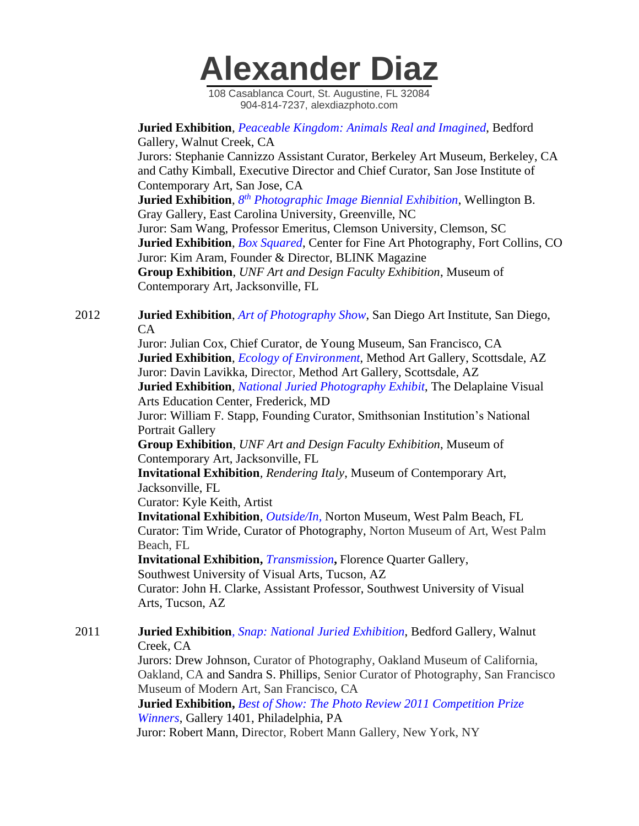

 **Juried Exhibition**, *Peaceable Kingdom: Animals Real and Imagined*, Bedford Gallery, Walnut Creek, CA Jurors: Stephanie Cannizzo Assistant Curator, Berkeley Art Museum, Berkeley, CA and Cathy Kimball, Executive Director and Chief Curator, San Jose Institute of Contemporary Art, San Jose, CA **Juried Exhibition**,  $8^{th}$  *Photographic Image Biennial Exhibition*, Wellington B. Gray Gallery, East Carolina University, Greenville, NC Juror: Sam Wang, Professor Emeritus, Clemson University, Clemson, SC **Juried Exhibition**, *Box Squared*, Center for Fine Art Photography, Fort Collins, CO Juror: Kim Aram, Founder & Director, BLINK Magazine **Group Exhibition**, *UNF Art and Design Faculty Exhibition*, Museum of

Contemporary Art, Jacksonville, FL

#### 2012 **Juried Exhibition**, *Art of Photography Show*, San Diego Art Institute, San Diego, CA

 Juror: Julian Cox, Chief Curator, de Young Museum, San Francisco, CA **Juried Exhibition**, *Ecology of Environment*, Method Art Gallery, Scottsdale, AZ Juror: Davin Lavikka, Director, Method Art Gallery, Scottsdale, AZ

 **Juried Exhibition**, *National Juried Photography Exhibit*, The Delaplaine Visual Arts Education Center, Frederick, MD

 Juror: William F. Stapp, Founding Curator, Smithsonian Institution's National Portrait Gallery

 **Group Exhibition**, *UNF Art and Design Faculty Exhibition*, Museum of Contemporary Art, Jacksonville, FL

 **Invitational Exhibition***, Rendering Italy*, Museum of Contemporary Art, Jacksonville, FL

Curator: Kyle Keith, Artist

 **Invitational Exhibition**, *Outside/In,* Norton Museum, West Palm Beach, FL Curator: Tim Wride, Curator of Photography, Norton Museum of Art, West Palm Beach, FL

**Invitational Exhibition,** *Transmission***,** Florence Quarter Gallery,

Southwest University of Visual Arts, Tucson, AZ

 Curator: John H. Clarke, Assistant Professor, Southwest University of Visual Arts, Tucson, AZ

2011 **Juried Exhibition***, Snap: National Juried Exhibition*, Bedford Gallery, Walnut Creek, CA

 Jurors: Drew Johnson, Curator of Photography, Oakland Museum of California, Oakland, CA and Sandra S. Phillips, Senior Curator of Photography, San Francisco Museum of Modern Art, San Francisco, CA

 **Juried Exhibition,** *Best of Show: The Photo Review 2011 Competition Prize Winners*, Gallery 1401, Philadelphia, PA

Juror: Robert Mann, Director, Robert Mann Gallery, New York, NY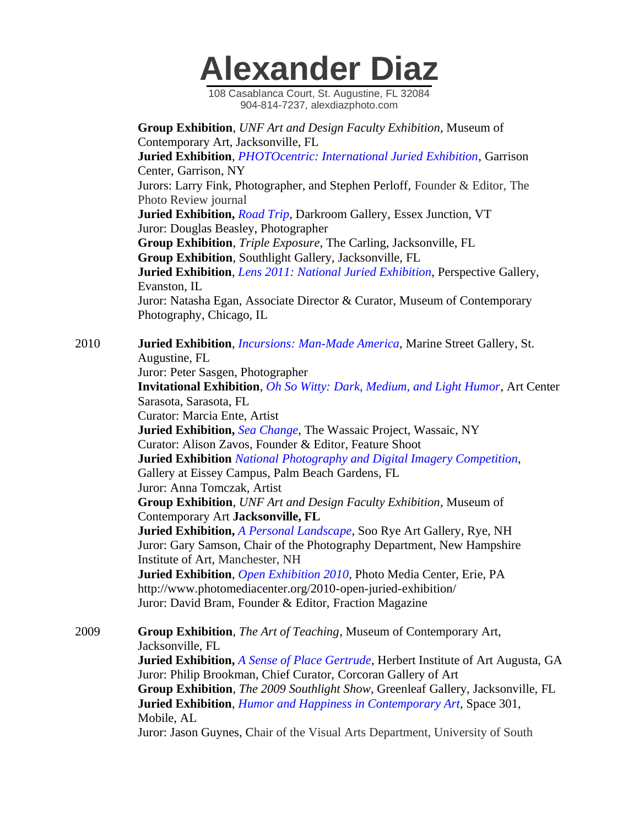108 Casablanca Court, St. Augustine, FL 32084 904-814-7237, alexdiazphoto.com

 **Group Exhibition**, *UNF Art and Design Faculty Exhibition*, Museum of Contemporary Art, Jacksonville, FL **Juried Exhibition**, *PHOTOcentric: International Juried Exhibition*, Garrison Center, Garrison, NY Jurors: Larry Fink, Photographer, and Stephen Perloff, Founder & Editor, The Photo Review journal **Juried Exhibition,** *Road Trip*, Darkroom Gallery, Essex Junction, VT Juror: Douglas Beasley, Photographer **Group Exhibition**, *Triple Exposure*, The Carling, Jacksonville, FL **Group Exhibition**, Southlight Gallery, Jacksonville, FL **Juried Exhibition**, *Lens 2011: National Juried Exhibition*, Perspective Gallery, Evanston, IL Juror: Natasha Egan, Associate Director & Curator, Museum of Contemporary Photography, Chicago, IL 2010 **Juried Exhibition**, *Incursions: Man-Made America*, Marine Street Gallery, St. Augustine, FL Juror: Peter Sasgen, Photographer **Invitational Exhibition**, *Oh So Witty: Dark, Medium, and Light Humor*, Art Center Sarasota, Sarasota, FL Curator: Marcia Ente, Artist **Juried Exhibition,** *Sea Change*, The Wassaic Project, Wassaic, NY Curator: Alison Zavos, Founder & Editor, Feature Shoot

 **Juried Exhibition** *National Photography and Digital Imagery Competition*, Gallery at Eissey Campus, Palm Beach Gardens, FL

Juror: Anna Tomczak, Artist

 **Group Exhibition**, *UNF Art and Design Faculty Exhibition*, Museum of Contemporary Art **Jacksonville, FL**

 **Juried Exhibition,** *A Personal Landscape*, Soo Rye Art Gallery, Rye, NH Juror: Gary Samson, Chair of the Photography Department, New Hampshire Institute of Art, Manchester, NH

 **Juried Exhibition**, *Open Exhibition 2010*, Photo Media Center, Erie, PA http://www.photomediacenter.org/2010-open-juried-exhibition/ Juror: David Bram, Founder & Editor, Fraction Magazine

2009 **Group Exhibition**, *The Art of Teaching*, Museum of Contemporary Art, Jacksonville, FL **Juried Exhibition,** *A Sense of Place Gertrude*, Herbert Institute of Art Augusta, GA Juror: Philip Brookman, Chief Curator, Corcoran Gallery of Art **Group Exhibition**, *The 2009 Southlight Show*, Greenleaf Gallery, Jacksonville, FL **Juried Exhibition**, *Humor and Happiness in Contemporary Art*, Space 301, Mobile, AL Juror: Jason Guynes, Chair of the Visual Arts Department, University of South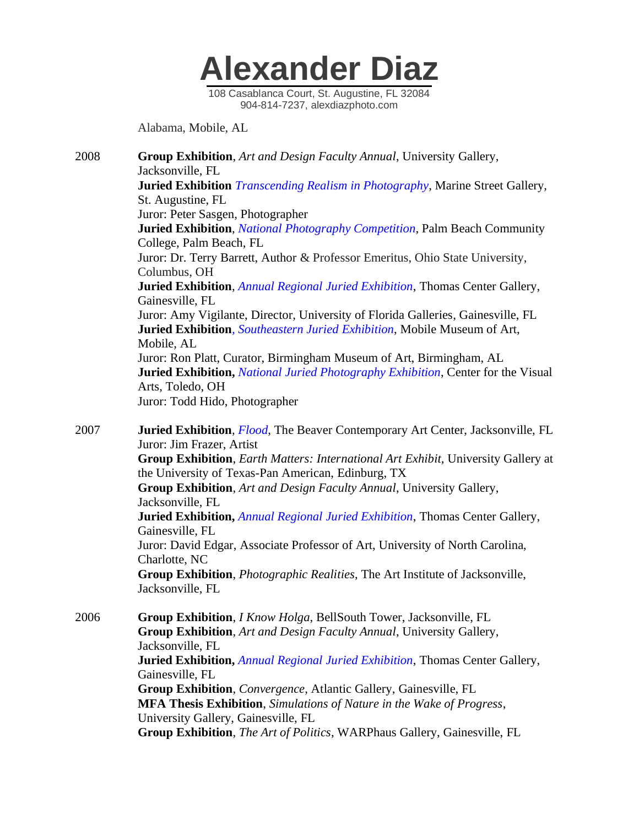

Alabama, Mobile, AL

2008 **Group Exhibition**, *Art and Design Faculty Annual*, University Gallery, Jacksonville, FL **Juried Exhibition** *Transcending Realism in Photography*, Marine Street Gallery, St. Augustine, FL Juror: Peter Sasgen, Photographer **Juried Exhibition**, *National Photography Competition*, Palm Beach Community College, Palm Beach, FL Juror: Dr. Terry Barrett, Author & Professor Emeritus, Ohio State University, Columbus, OH **Juried Exhibition**, *Annual Regional Juried Exhibition*, Thomas Center Gallery, Gainesville, FL Juror: Amy Vigilante, Director, University of Florida Galleries, Gainesville, FL **Juried Exhibition***, Southeastern Juried Exhibition*, Mobile Museum of Art, Mobile, AL Juror: Ron Platt, Curator, Birmingham Museum of Art, Birmingham, AL  **Juried Exhibition,** *National Juried Photography Exhibition*, Center for the Visual Arts, Toledo, OH Juror: Todd Hido, Photographer

2007 **Juried Exhibition**, *Flood*, The Beaver Contemporary Art Center, Jacksonville, FL Juror: Jim Frazer, Artist

 **Group Exhibition**, *Earth Matters: International Art Exhibit*, University Gallery at the University of Texas-Pan American, Edinburg, TX

 **Group Exhibition**, *Art and Design Faculty Annual*, University Gallery, Jacksonville, FL

 **Juried Exhibition,** *Annual Regional Juried Exhibition*, Thomas Center Gallery, Gainesville, FL

 Juror: David Edgar, Associate Professor of Art, University of North Carolina, Charlotte, NC

 **Group Exhibition**, *Photographic Realities*, The Art Institute of Jacksonville, Jacksonville, FL

2006 **Group Exhibition**, *I Know Holga*, BellSouth Tower, Jacksonville, FL **Group Exhibition**, *Art and Design Faculty Annual*, University Gallery, Jacksonville, FL **Juried Exhibition,** *Annual Regional Juried Exhibition*, Thomas Center Gallery, Gainesville, FL **Group Exhibition**, *Convergence*, Atlantic Gallery, Gainesville, FL **MFA Thesis Exhibition**, *Simulations of Nature in the Wake of Progress*, University Gallery, Gainesville, FL **Group Exhibition**, *The Art of Politics*, WARPhaus Gallery, Gainesville, FL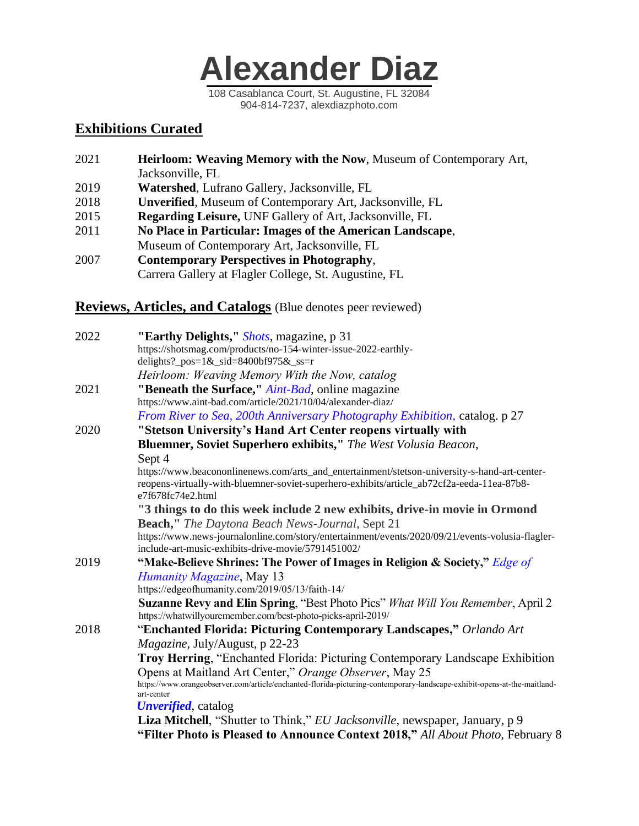

### **Exhibitions Curated**

| 2021 | Heirloom: Weaving Memory with the Now, Museum of Contemporary Art, |
|------|--------------------------------------------------------------------|
|      | Jacksonville, FL                                                   |
| 2019 | <b>Watershed, Lufrano Gallery, Jacksonville, FL</b>                |
| 2018 | <b>Unverified, Museum of Contemporary Art, Jacksonville, FL</b>    |
| 2015 | <b>Regarding Leisure, UNF Gallery of Art, Jacksonville, FL</b>     |
| 2011 | No Place in Particular: Images of the American Landscape,          |
|      | Museum of Contemporary Art, Jacksonville, FL                       |
| 2007 | <b>Contemporary Perspectives in Photography,</b>                   |
|      | Carrera Gallery at Flagler College, St. Augustine, FL              |

### **Reviews, Articles, and Catalogs** (Blue denotes peer reviewed)

| 2022 | "Earthy Delights," Shots, magazine, p 31<br>https://shotsmag.com/products/no-154-winter-issue-2022-earthly-                                                                                                      |
|------|------------------------------------------------------------------------------------------------------------------------------------------------------------------------------------------------------------------|
|      | delights?_pos= $1&$ _sid=8400bf975 $&$ _ss=r                                                                                                                                                                     |
|      | Heirloom: Weaving Memory With the Now, catalog                                                                                                                                                                   |
| 2021 | "Beneath the Surface," Aint-Bad, online magazine                                                                                                                                                                 |
|      | https://www.aint-bad.com/article/2021/10/04/alexander-diaz/                                                                                                                                                      |
|      | From River to Sea, 200th Anniversary Photography Exhibition, catalog. p 27                                                                                                                                       |
| 2020 | "Stetson University's Hand Art Center reopens virtually with                                                                                                                                                     |
|      | Bluemner, Soviet Superhero exhibits," The West Volusia Beacon,                                                                                                                                                   |
|      | Sept 4                                                                                                                                                                                                           |
|      | https://www.beacononlinenews.com/arts_and_entertainment/stetson-university-s-hand-art-center-<br>reopens-virtually-with-bluemner-soviet-superhero-exhibits/article_ab72cf2a-eeda-11ea-87b8-<br>e7f678fc74e2.html |
|      | "3 things to do this week include 2 new exhibits, drive-in movie in Ormond                                                                                                                                       |
|      | <b>Beach,"</b> The Daytona Beach News-Journal, Sept 21                                                                                                                                                           |
|      | https://www.news-journalonline.com/story/entertainment/events/2020/09/21/events-volusia-flagler-<br>include-art-music-exhibits-drive-movie/5791451002/                                                           |
| 2019 | "Make-Believe Shrines: The Power of Images in Religion & Society," Edge of                                                                                                                                       |
|      | Humanity Magazine, May 13                                                                                                                                                                                        |
|      | https://edgeofhumanity.com/2019/05/13/faith-14/                                                                                                                                                                  |
|      | Suzanne Revy and Elin Spring, "Best Photo Pics" What Will You Remember, April 2<br>https://whatwillyouremember.com/best-photo-picks-april-2019/                                                                  |
| 2018 | "Enchanted Florida: Picturing Contemporary Landscapes," Orlando Art                                                                                                                                              |
|      | <i>Magazine</i> , July/August, p 22-23                                                                                                                                                                           |
|      | Troy Herring, "Enchanted Florida: Picturing Contemporary Landscape Exhibition                                                                                                                                    |
|      | Opens at Maitland Art Center," Orange Observer, May 25<br>https://www.orangeobserver.com/article/enchanted-florida-picturing-contemporary-landscape-exhibit-opens-at-the-maitland-<br>art-center                 |
|      | <b><i>Unverified</i></b> , catalog                                                                                                                                                                               |
|      | Liza Mitchell, "Shutter to Think," EU Jacksonville, newspaper, January, p 9<br>"Filter Photo is Pleased to Announce Context 2018," All About Photo, February 8                                                   |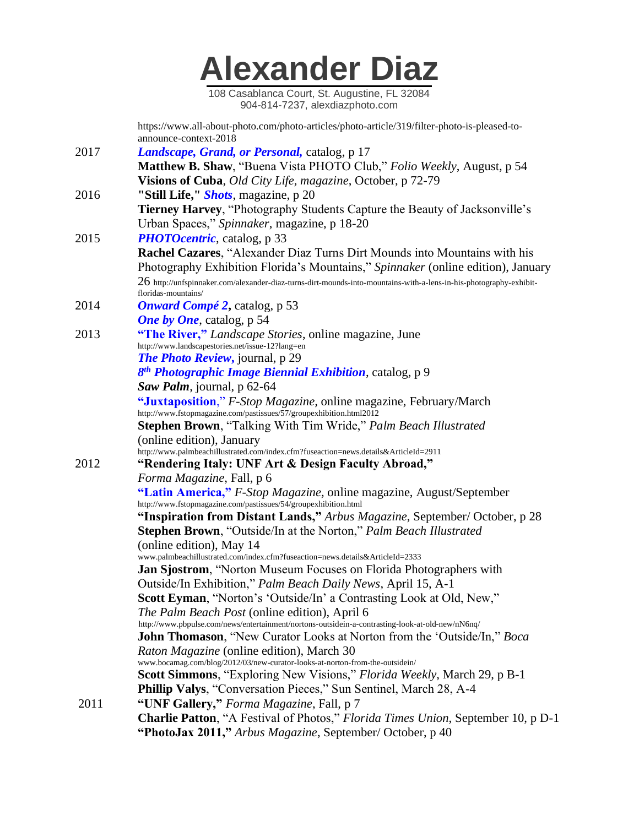108 Casablanca Court, St. Augustine, FL 32084 904-814-7237, alexdiazphoto.com

 https://www.all-about-photo.com/photo-articles/photo-article/319/filter-photo-is-pleased-to announce-context-2018

2017 *Landscape, Grand, or Personal,* catalog, p 17 **Matthew B. Shaw**, "Buena Vista PHOTO Club," *Folio Weekly*, August, p 54 **Visions of Cuba**, *Old City Life, magazine*, October, p 72-79 2016 **"Still Life,"** *Shots*, magazine, p 20  **Tierney Harvey**, "Photography Students Capture the Beauty of Jacksonville's Urban Spaces," *Spinnaker*, magazine, p 18-20 2015 *PHOTOcentric*, catalog, p 33 **Rachel Cazares**, "Alexander Diaz Turns Dirt Mounds into Mountains with his Photography Exhibition Florida's Mountains," *Spinnaker* (online edition), January  $26$  http://unfspinnaker.com/alexander-diaz-turns-dirt-mounds-into-mountains-with-a-lens-in-his-photography-exhibit floridas-mountains/ 2014 *Onward Compé 2***,** catalog, p 53 *One by One*, catalog, p 54 2013 **"The River,"** *Landscape Stories*, online magazine, June http://www.landscapestories.net/issue-12?lang=en *The Photo Review***,** journal, p 29

*8 th Photographic Image Biennial Exhibition*, catalog, p 9

*Saw Palm*, journal, p 62-64

 **"Juxtaposition**," *F-Stop Magazine,* online magazine, February/March http://www.fstopmagazine.com/pastissues/57/groupexhibition.html2012

 **Stephen Brown**, "Talking With Tim Wride," *Palm Beach Illustrated* (online edition), January

http://www.palmbeachillustrated.com/index.cfm?fuseaction=news.details&ArticleId=2911

2012 **"Rendering Italy: UNF Art & Design Faculty Abroad,"**

 *Forma Magazine*, Fall, p 6

 **"Latin America,"** *F-Stop Magazine,* online magazine, August/September http://www.fstopmagazine.com/pastissues/54/groupexhibition.html

 **"Inspiration from Distant Lands,"** *Arbus Magazine*, September/ October, p 28 **Stephen Brown**, "Outside/In at the Norton," *Palm Beach Illustrated* (online edition), May 14 www.palmbeachillustrated.com/index.cfm?fuseaction=news.details&ArticleId=2333

**Jan Sjostrom**, "Norton Museum Focuses on Florida Photographers with

Outside/In Exhibition," *Palm Beach Daily News*, April 15, A-1

**Scott Eyman**, "Norton's 'Outside/In' a Contrasting Look at Old, New,"

*The Palm Beach Post* (online edition), April 6

http://www.pbpulse.com/news/entertainment/nortons-outsidein-a-contrasting-look-at-old-new/nN6nq/

 **John Thomason**, "New Curator Looks at Norton from the 'Outside/In," *Boca Raton Magazine* (online edition), March 30

www.bocamag.com/blog/2012/03/new-curator-looks-at-norton-from-the-outsidein/

**Scott Simmons**, "Exploring New Visions," *Florida Weekly*, March 29, p B-1

**Phillip Valys**, "Conversation Pieces," Sun Sentinel, March 28, A-4

2011 **"UNF Gallery,"** *Forma Magazine*, Fall, p 7 **Charlie Patton**, "A Festival of Photos," *Florida Times Union*, September 10, p D-1 **"PhotoJax 2011,"** *Arbus Magazine*, September/ October, p 40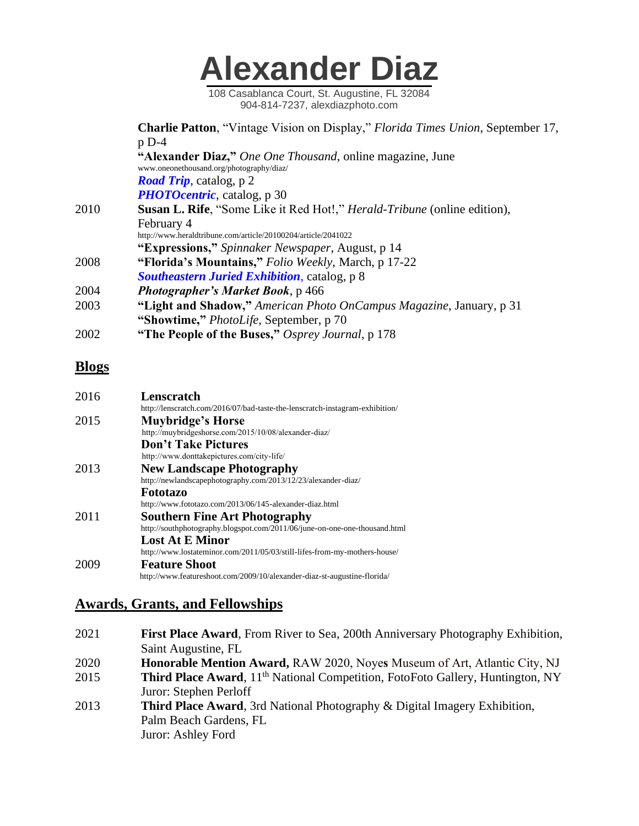108 Casablanca Court, St. Augustine, FL 32084 904-814-7237, alexdiazphoto.com

 **Charlie Patton**, "Vintage Vision on Display," *Florida Times Union*, September 17, p D-4 **"Alexander Diaz,"** *One One Thousand*, online magazine, June www.oneonethousand.org/photography/diaz/ *Road Trip*, catalog, p 2 *PHOTOcentric*, catalog, p 30 2010 **Susan L. Rife**, "Some Like it Red Hot!," *Herald-Tribune* (online edition), February 4 http://www.heraldtribune.com/article/20100204/article/2041022 **"Expressions,"** *Spinnaker Newspaper*, August, p 14 2008 **"Florida's Mountains,"** *Folio Weekly*, March, p 17-22 *Southeastern Juried Exhibition*, catalog, p 8 2004 *Photographer's Market Book*, p 466 2003 **"Light and Shadow,"** *American Photo OnCampus Magazine*, January, p 31 **"Showtime,"** *PhotoLife*, September, p 70 2002 **"The People of the Buses,"** *Osprey Journal*, p 178

### **Blogs**

| 2016 | Lenscratch                                                                   |
|------|------------------------------------------------------------------------------|
|      | http://lenscratch.com/2016/07/bad-taste-the-lenscratch-instagram-exhibition/ |
| 2015 | <b>Muybridge's Horse</b>                                                     |
|      | http://muybridgeshorse.com/2015/10/08/alexander-diaz/                        |
|      | <b>Don't Take Pictures</b>                                                   |
|      | http://www.donttakepictures.com/city-life/                                   |
| 2013 | <b>New Landscape Photography</b>                                             |
|      | http://newlandscapephotography.com/2013/12/23/alexander-diaz/                |
|      | Fototazo                                                                     |
|      | http://www.fototazo.com/2013/06/145-alexander-diaz.html                      |
| 2011 | <b>Southern Fine Art Photography</b>                                         |
|      | http://southphotography.blogspot.com/2011/06/june-on-one-one-thousand.html   |
|      | <b>Lost At E Minor</b>                                                       |
|      | http://www.lostateminor.com/2011/05/03/still-lifes-from-my-mothers-house/    |
| 2009 | <b>Feature Shoot</b>                                                         |
|      | http://www.featureshoot.com/2009/10/alexander-diaz-st-augustine-florida/     |

### **Awards, Grants, and Fellowships**

2021 **First Place Award**, From River to Sea, 200th Anniversary Photography Exhibition, Saint Augustine, FL 2020 **Honorable Mention Award,** RAW 2020, Noye**s** Museum of Art, Atlantic City, NJ 2015 **Third Place Award**, 11<sup>th</sup> National Competition, FotoFoto Gallery, Huntington, NY Juror: Stephen Perloff 2013 **Third Place Award**, 3rd National Photography & Digital Imagery Exhibition, Palm Beach Gardens, FL Juror: Ashley Ford